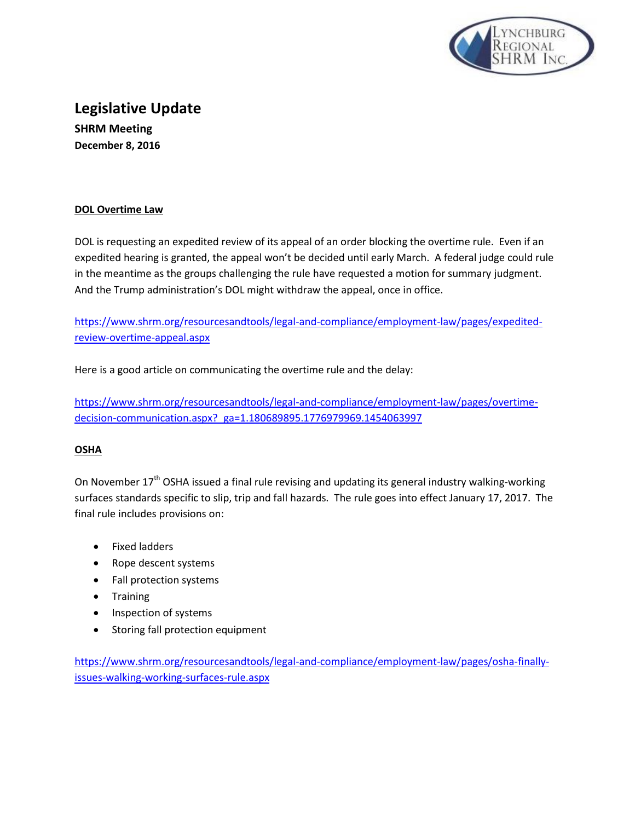

# **Legislative Update SHRM Meeting December 8, 2016**

## **DOL Overtime Law**

DOL is requesting an expedited review of its appeal of an order blocking the overtime rule. Even if an expedited hearing is granted, the appeal won't be decided until early March. A federal judge could rule in the meantime as the groups challenging the rule have requested a motion for summary judgment. And the Trump administration's DOL might withdraw the appeal, once in office.

[https://www.shrm.org/resourcesandtools/legal-and-compliance/employment-law/pages/expedited](https://www.shrm.org/resourcesandtools/legal-and-compliance/employment-law/pages/expedited-review-overtime-appeal.aspx)[review-overtime-appeal.aspx](https://www.shrm.org/resourcesandtools/legal-and-compliance/employment-law/pages/expedited-review-overtime-appeal.aspx)

Here is a good article on communicating the overtime rule and the delay:

[https://www.shrm.org/resourcesandtools/legal-and-compliance/employment-law/pages/overtime](https://www.shrm.org/resourcesandtools/legal-and-compliance/employment-law/pages/overtime-decision-communication.aspx?_ga=1.180689895.1776979969.1454063997)[decision-communication.aspx?\\_ga=1.180689895.1776979969.1454063997](https://www.shrm.org/resourcesandtools/legal-and-compliance/employment-law/pages/overtime-decision-communication.aspx?_ga=1.180689895.1776979969.1454063997)

# **OSHA**

On November 17<sup>th</sup> OSHA issued a final rule revising and updating its general industry walking-working surfaces standards specific to slip, trip and fall hazards. The rule goes into effect January 17, 2017. The final rule includes provisions on:

- Fixed ladders
- Rope descent systems
- Fall protection systems
- Training
- Inspection of systems
- Storing fall protection equipment

[https://www.shrm.org/resourcesandtools/legal-and-compliance/employment-law/pages/osha-finally](https://www.shrm.org/resourcesandtools/legal-and-compliance/employment-law/pages/osha-finally-issues-walking-working-surfaces-rule.aspx)[issues-walking-working-surfaces-rule.aspx](https://www.shrm.org/resourcesandtools/legal-and-compliance/employment-law/pages/osha-finally-issues-walking-working-surfaces-rule.aspx)